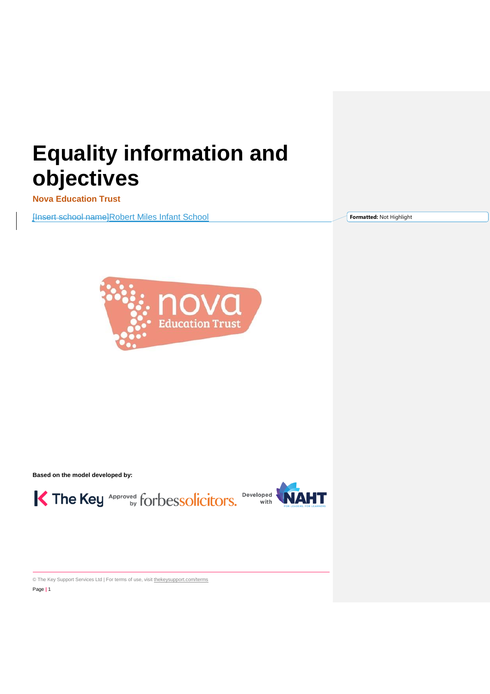# **Equality information and objectives**

**Nova Education Trust** 

[Insert school name]Robert Miles Infant School

**Formatted:** Not Highlight



**Based on the model developed by:**

K The Key Approved for bessolicitors. Developed **WAHT** 



© The Key Support Services Ltd | For terms of use, visit [thekeysupport.com/terms](https://thekeysupport.com/terms-of-use) Page **|** 1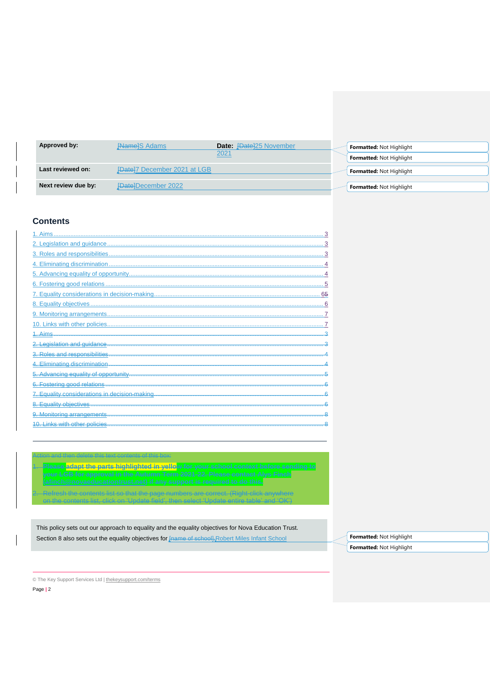| Approved by:        | <b>Hamel</b> S Adams<br><b>Date:</b> [Date]25 November | <b>Formatted: Not Highlight</b> |
|---------------------|--------------------------------------------------------|---------------------------------|
|                     | 2021                                                   | <b>Formatted: Not Highlight</b> |
|                     |                                                        |                                 |
| Last reviewed on:   | <b>IDatel7 December 2021 at LGB</b>                    | <b>Formatted: Not Highlight</b> |
|                     |                                                        |                                 |
| Next review due by: | <b>{Date}December 2022</b>                             | <b>Formatted: Not Highlight</b> |

## **Contents**

| $1.$ Aims                                     |    |
|-----------------------------------------------|----|
|                                               |    |
|                                               |    |
|                                               |    |
|                                               |    |
|                                               |    |
|                                               | 65 |
|                                               |    |
|                                               |    |
|                                               |    |
| 1. Aims                                       |    |
| egislation and guidance                       |    |
|                                               |    |
|                                               |    |
|                                               |    |
|                                               |    |
| 7. Equality considerations in decision-making |    |
| Equality objectives                           |    |
| 9. Monitoring arrangements                    |    |
| 10. Links with other policies                 |    |

1. **Please adapt the parts highlighted in yellow for your school context before sending to your LGB for approval in the Autumn Term 2021-22. Please contact Alys Finch**  .<br>Presh the contents list so that the page numbers are correct. (Right-click anywhere

This policy sets out our approach to equality and the equality objectives for Nova Education Trust. Section 8 also sets out the equality objectives for Frame of school]. Robert Miles Infant School

on the contents list, click on 'Update field', then select 'Update entire table' and 'OK')

**Formatted:** Not Highlight **Formatted:** Not Highlight

© The Key Support Services Ltd | [thekeysupport.com/terms](https://thekeysupport.com/terms-of-use)

Action and then delete this text contents of this box: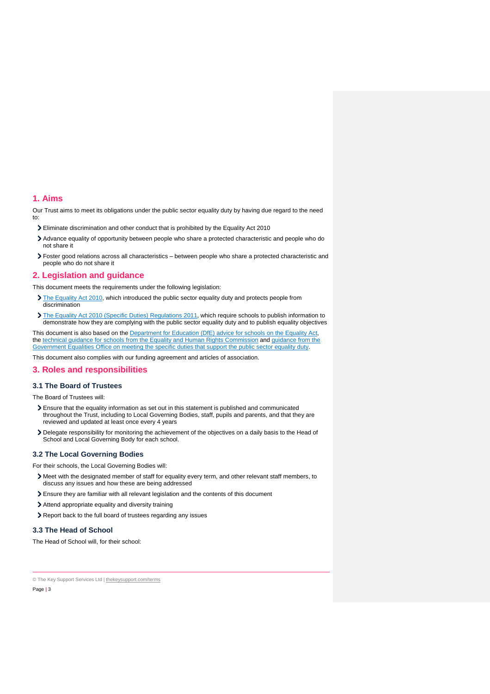#### <span id="page-2-0"></span>**1. Aims**

Our Trust aims to meet its obligations under the public sector equality duty by having due regard to the need to:

- Eliminate discrimination and other conduct that is prohibited by the Equality Act 2010
- Advance equality of opportunity between people who share a protected characteristic and people who do not share it
- Foster good relations across all characteristics between people who share a protected characteristic and people who do not share it

#### <span id="page-2-1"></span>**2. Legislation and guidance**

This document meets the requirements under the following legislation:

- [The Equality Act 2010,](http://www.legislation.gov.uk/ukpga/2010/15/contents) which introduced the public sector equality duty and protects people from discrimination
- [The Equality Act 2010 \(Specific Duties\) Regulations 2011,](http://www.legislation.gov.uk/uksi/2011/2260/contents/made) which require schools to publish information to demonstrate how they are complying with the public sector equality duty and to publish equality objectives

This document is also based on the [Department for Education \(DfE\) advice for schools on the Equality](https://www.gov.uk/government/publications/equality-act-2010-advice-for-schools) Act, the [technical guidance for schools from the Equality and Human Rights Commission](https://www.equalityhumanrights.com/en/publication-download/technical-guidance-schools-england) and [guidance from the](https://www.gov.uk/government/publications/public-sector-quick-start-guide-to-the-specific-duties)  [Government Equalities Office on meeting the specific duties that support the public sector equality duty.](https://www.gov.uk/government/publications/public-sector-quick-start-guide-to-the-specific-duties) 

This document also complies with our funding agreement and articles of association.

## <span id="page-2-2"></span>**3. Roles and responsibilities**

#### **3.1 The Board of Trustees**

The Board of Trustees will:

- Ensure that the equality information as set out in this statement is published and communicated throughout the Trust, including to Local Governing Bodies, staff, pupils and parents, and that they are reviewed and updated at least once every 4 years
- Delegate responsibility for monitoring the achievement of the objectives on a daily basis to the Head of School and Local Governing Body for each school.

#### **3.2 The Local Governing Bodies**

For their schools, the Local Governing Bodies will:

- Meet with the designated member of staff for equality every term, and other relevant staff members, to discuss any issues and how these are being addressed
- Ensure they are familiar with all relevant legislation and the contents of this document
- Attend appropriate equality and diversity training
- Report back to the full board of trustees regarding any issues

## **3.3 The Head of School**

The Head of School will, for their school: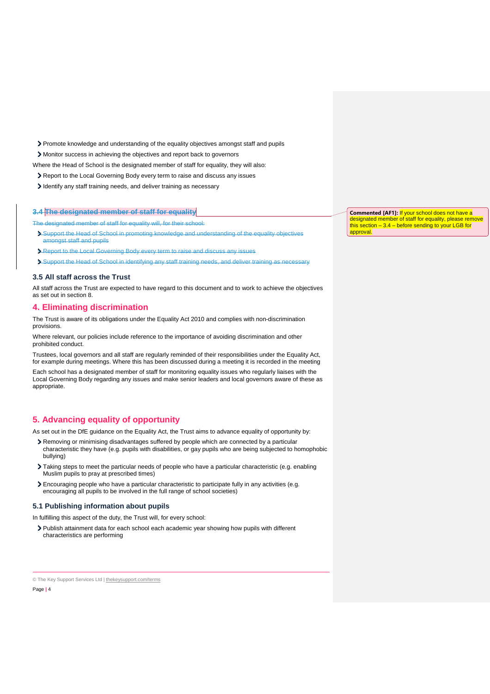Promote knowledge and understanding of the equality objectives amongst staff and pupils

Monitor success in achieving the objectives and report back to governors

Where the Head of School is the designated member of staff for equality, they will also:

- Report to the Local Governing Body every term to raise and discuss any issues
- I dentify any staff training needs, and deliver training as necessary

## **3.4 The designated member of staff for equality**

The designated member of staff for equality will, for their school:

- Support the Head of School in promoting knowledge and understanding of the equality objectives amongst staff and pupils
- Report to the Local Governing Body every term to raise and discuss any issues
- Support the Head of School in identifying any staff training needs, and deliver training as necessary

#### **3.5 All staff across the Trust**

All staff across the Trust are expected to have regard to this document and to work to achieve the objectives as set out in section 8.

## <span id="page-3-0"></span>**4. Eliminating discrimination**

The Trust is aware of its obligations under the Equality Act 2010 and complies with non-discrimination provisions.

Where relevant, our policies include reference to the importance of avoiding discrimination and other prohibited conduct.

Trustees, local governors and all staff are regularly reminded of their responsibilities under the Equality Act, for example during meetings. Where this has been discussed during a meeting it is recorded in the meeting

Each school has a designated member of staff for monitoring equality issues who regularly liaises with the Local Governing Body regarding any issues and make senior leaders and local governors aware of these as appropriate.

## <span id="page-3-1"></span>**5. Advancing equality of opportunity**

As set out in the DfE guidance on the Equality Act, the Trust aims to advance equality of opportunity by:

- Removing or minimising disadvantages suffered by people which are connected by a particular characteristic they have (e.g. pupils with disabilities, or gay pupils who are being subjected to homophobic bullying)
- Taking steps to meet the particular needs of people who have a particular characteristic (e.g. enabling Muslim pupils to pray at prescribed times)
- Encouraging people who have a particular characteristic to participate fully in any activities (e.g. encouraging all pupils to be involved in the full range of school societies)

#### **5.1 Publishing information about pupils**

In fulfilling this aspect of the duty, the Trust will, for every school:

Publish attainment data for each school each academic year showing how pupils with different characteristics are performing

© The Key Support Services Ltd | [thekeysupport.com/terms](https://thekeysupport.com/terms-of-use)

Page **|** 4

**Commented [AF1]:** If your school does not have a designated member of staff for equality, please remove this section  $-3.4$  – before sending to your LGB for approval.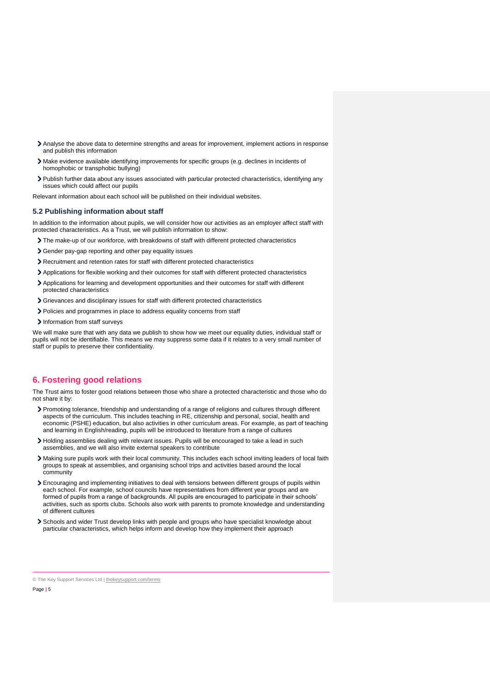- Analyse the above data to determine strengths and areas for improvement, implement actions in response and publish this information
- Make evidence available identifying improvements for specific groups (e.g. declines in incidents of homophobic or transphobic bullying)
- Publish further data about any issues associated with particular protected characteristics, identifying any issues which could affect our pupils

Relevant information about each school will be published on their individual websites.

#### **5.2 Publishing information about staff**

In addition to the information about pupils, we will consider how our activities as an employer affect staff with protected characteristics. As a Trust, we will publish information to show:

- The make-up of our workforce, with breakdowns of staff with different protected characteristics
- Gender pay-gap reporting and other pay equality issues
- Recruitment and retention rates for staff with different protected characteristics
- Applications for flexible working and their outcomes for staff with different protected characteristics
- Applications for learning and development opportunities and their outcomes for staff with different protected characteristics
- Grievances and disciplinary issues for staff with different protected characteristics
- Policies and programmes in place to address equality concerns from staff
- Information from staff surveys

We will make sure that with any data we publish to show how we meet our equality duties, individual staff or pupils will not be identifiable. This means we may suppress some data if it relates to a very small number of staff or pupils to preserve their confidentiality.

## <span id="page-4-0"></span>**6. Fostering good relations**

The Trust aims to foster good relations between those who share a protected characteristic and those who do not share it by:

- Promoting tolerance, friendship and understanding of a range of religions and cultures through different aspects of the curriculum. This includes teaching in RE, citizenship and personal, social, health and economic (PSHE) education, but also activities in other curriculum areas. For example, as part of teaching and learning in English/reading, pupils will be introduced to literature from a range of cultures
- Holding assemblies dealing with relevant issues. Pupils will be encouraged to take a lead in such assemblies, and we will also invite external speakers to contribute
- Making sure pupils work with their local community. This includes each school inviting leaders of local faith groups to speak at assemblies, and organising school trips and activities based around the local community
- Encouraging and implementing initiatives to deal with tensions between different groups of pupils within each school. For example, school councils have representatives from different year groups and are formed of pupils from a range of backgrounds. All pupils are encouraged to participate in their schools' activities, such as sports clubs. Schools also work with parents to promote knowledge and understanding of different cultures
- Schools and wider Trust develop links with people and groups who have specialist knowledge about particular characteristics, which helps inform and develop how they implement their approach

© The Key Support Services Ltd | [thekeysupport.com/terms](https://thekeysupport.com/terms-of-use)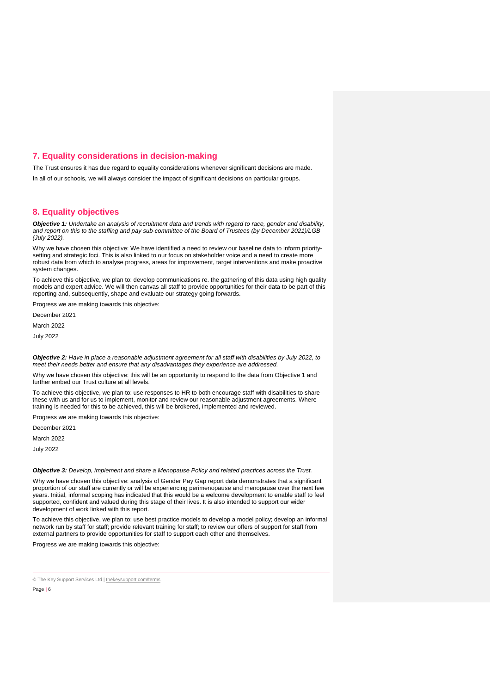## <span id="page-5-0"></span>**7. Equality considerations in decision-making**

The Trust ensures it has due regard to equality considerations whenever significant decisions are made. In all of our schools, we will always consider the impact of significant decisions on particular groups.

## <span id="page-5-1"></span>**8. Equality objectives**

*Objective 1: Undertake an analysis of recruitment data and trends with regard to race, gender and disability, and report on this to the staffing and pay sub-committee of the Board of Trustees (by December 2021)/LGB (July 2022).*

Why we have chosen this objective: We have identified a need to review our baseline data to inform prioritysetting and strategic foci. This is also linked to our focus on stakeholder voice and a need to create more robust data from which to analyse progress, areas for improvement, target interventions and make proactive system changes.

To achieve this objective, we plan to: develop communications re. the gathering of this data using high quality models and expert advice. We will then canvas all staff to provide opportunities for their data to be part of this reporting and, subsequently, shape and evaluate our strategy going forwards.

Progress we are making towards this objective:

December 2021

March 2022

July 2022

*Objective 2: Have in place a reasonable adjustment agreement for all staff with disabilities by July 2022, to meet their needs better and ensure that any disadvantages they experience are addressed.*

Why we have chosen this objective: this will be an opportunity to respond to the data from Objective 1 and further embed our Trust culture at all levels.

To achieve this objective, we plan to: use responses to HR to both encourage staff with disabilities to share these with us and for us to implement, monitor and review our reasonable adjustment agreements. Where training is needed for this to be achieved, this will be brokered, implemented and reviewed.

Progress we are making towards this objective:

December 2021

March 2022

July 2022

#### *Objective 3: Develop, implement and share a Menopause Policy and related practices across the Trust.*

Why we have chosen this objective: analysis of Gender Pay Gap report data demonstrates that a significant proportion of our staff are currently or will be experiencing perimenopause and menopause over the next few years. Initial, informal scoping has indicated that this would be a welcome development to enable staff to feel supported, confident and valued during this stage of their lives. It is also intended to support our wider development of work linked with this report.

To achieve this objective, we plan to: use best practice models to develop a model policy; develop an informal network run by staff for staff; provide relevant training for staff; to review our offers of support for staff from external partners to provide opportunities for staff to support each other and themselves.

Progress we are making towards this objective:

<sup>©</sup> The Key Support Services Ltd | [thekeysupport.com/terms](https://thekeysupport.com/terms-of-use)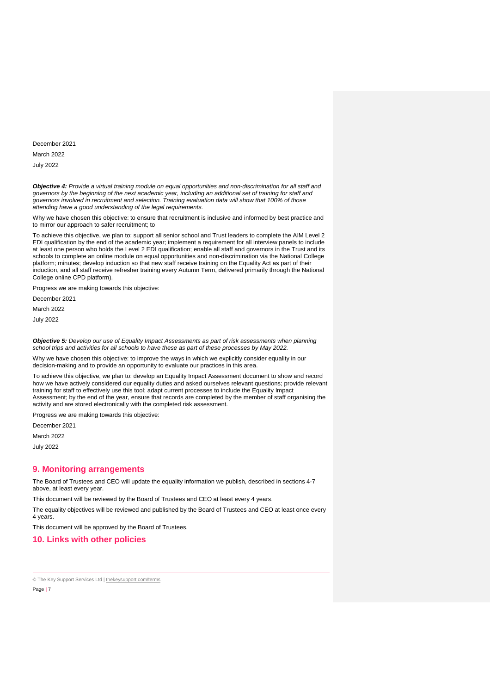December 2021 March 2022 July 2022

*Objective 4: Provide a virtual training module on equal opportunities and non-discrimination for all staff and governors by the beginning of the next academic year, including an additional set of training for staff and governors involved in recruitment and selection. Training evaluation data will show that 100% of those attending have a good understanding of the legal requirements.*

Why we have chosen this objective: to ensure that recruitment is inclusive and informed by best practice and to mirror our approach to safer recruitment; to

To achieve this objective, we plan to: support all senior school and Trust leaders to complete the AIM Level 2 EDI qualification by the end of the academic year; implement a requirement for all interview panels to include at least one person who holds the Level 2 EDI qualification; enable all staff and governors in the Trust and its schools to complete an online module on equal opportunities and non-discrimination via the National College platform; minutes; develop induction so that new staff receive training on the Equality Act as part of their induction, and all staff receive refresher training every Autumn Term, delivered primarily through the National College online CPD platform).

Progress we are making towards this objective:

December 2021

March 2022

July 2022

*Objective 5: Develop our use of Equality Impact Assessments as part of risk assessments when planning school trips and activities for all schools to have these as part of these processes by May 2022.* 

Why we have chosen this objective: to improve the ways in which we explicitly consider equality in our decision-making and to provide an opportunity to evaluate our practices in this area.

To achieve this objective, we plan to: develop an Equality Impact Assessment document to show and record how we have actively considered our equality duties and asked ourselves relevant questions; provide relevant training for staff to effectively use this tool; adapt current processes to include the Equality Impact Assessment; by the end of the year, ensure that records are completed by the member of staff organising the activity and are stored electronically with the completed risk assessment.

Progress we are making towards this objective:

December 2021

March 2022

July 2022

## <span id="page-6-0"></span>**9. Monitoring arrangements**

The Board of Trustees and CEO will update the equality information we publish, described in sections 4-7 above, at least every year.

This document will be reviewed by the Board of Trustees and CEO at least every 4 years.

The equality objectives will be reviewed and published by the Board of Trustees and CEO at least once every 4 years.

This document will be approved by the Board of Trustees.

<span id="page-6-1"></span>**10. Links with other policies**